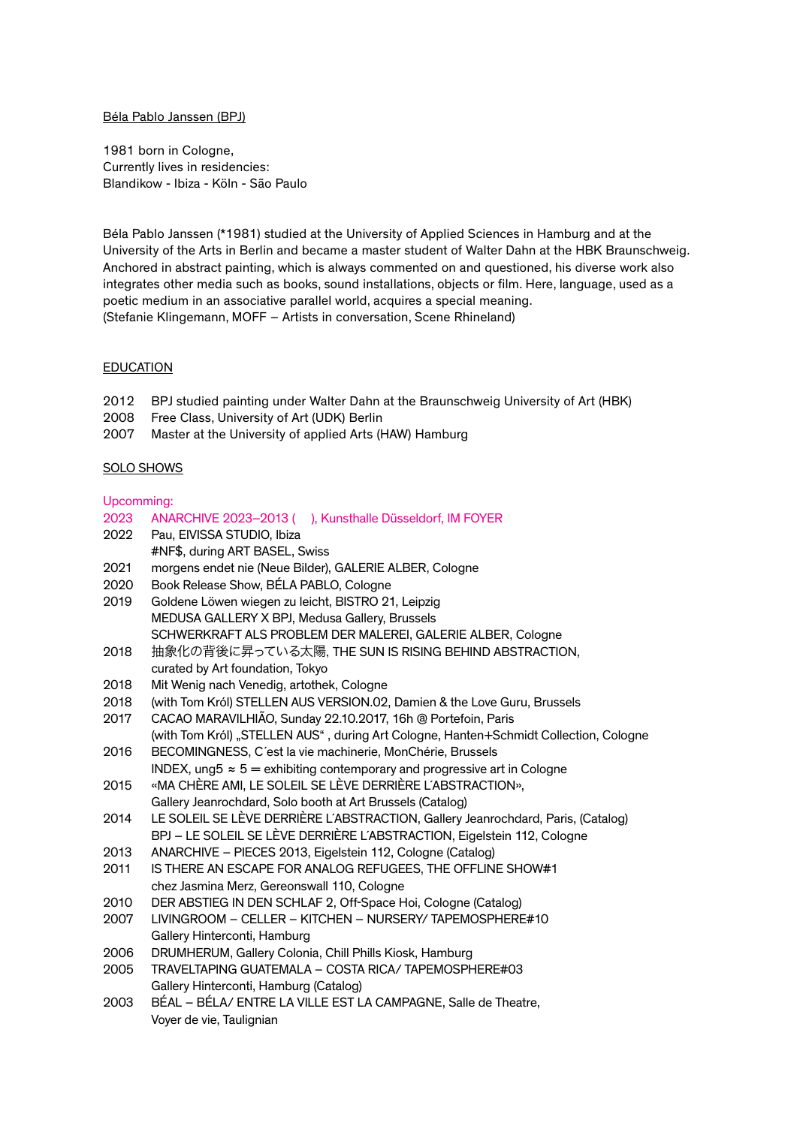#### Béla Pablo Janssen (BPJ)

1981 born in Cologne, Currently lives in residencies: Blandikow - Ibiza - Köln - São Paulo

Béla Pablo Janssen (\*1981) studied at the University of Applied Sciences in Hamburg and at the University of the Arts in Berlin and became a master student of Walter Dahn at the HBK Braunschweig. Anchored in abstract painting, which is always commented on and questioned, his diverse work also integrates other media such as books, sound installations, objects or film. Here, language, used as a poetic medium in an associative parallel world, acquires a special meaning. (Stefanie Klingemann, MOFF – Artists in conversation, Scene Rhineland)

#### EDUCATION

- 2012 BPJ studied painting under Walter Dahn at the Braunschweig University of Art (HBK)
- 2008 Free Class, University of Art (UDK) Berlin
- 2007 Master at the University of applied Arts (HAW) Hamburg

### SOLO SHOWS

## Upcomming:

| 2023 | ANARCHIVE 2023-2013 (), Kunsthalle Düsseldorf, IM FOYER                               |
|------|---------------------------------------------------------------------------------------|
| 2022 | Pau, EIVISSA STUDIO, Ibiza                                                            |
|      | #NF\$, during ART BASEL, Swiss                                                        |
| 2021 | morgens endet nie (Neue Bilder), GALERIE ALBER, Cologne                               |
| 2020 | Book Release Show, BÉLA PABLO, Cologne                                                |
| 2019 | Goldene Löwen wiegen zu leicht, BISTRO 21, Leipzig                                    |
|      | MEDUSA GALLERY X BPJ, Medusa Gallery, Brussels                                        |
|      | SCHWERKRAFT ALS PROBLEM DER MALEREI, GALERIE ALBER, Cologne                           |
| 2018 | 抽象化の背後に昇っている太陽, THE SUN IS RISING BEHIND ABSTRACTION,                                 |
|      | curated by Art foundation, Tokyo                                                      |
| 2018 | Mit Wenig nach Venedig, artothek, Cologne                                             |
| 2018 | (with Tom Król) STELLEN AUS VERSION.02, Damien & the Love Guru, Brussels              |
| 2017 | CACAO MARAVILHIÃO, Sunday 22.10.2017, 16h @ Portefoin, Paris                          |
|      | (with Tom Król) "STELLEN AUS", during Art Cologne, Hanten+Schmidt Collection, Cologne |
| 2016 | BECOMINGNESS, C'est la vie machinerie, MonChérie, Brussels                            |
|      | INDEX, ung5 $\approx$ 5 = exhibiting contemporary and progressive art in Cologne      |
| 2015 | «MA CHÈRE AMI, LE SOLEIL SE LÈVE DERRIÈRE L'ABSTRACTION»,                             |
|      | Gallery Jeanrochdard, Solo booth at Art Brussels (Catalog)                            |
| 2014 | LE SOLEIL SE LÈVE DERRIÈRE L'ABSTRACTION, Gallery Jeanrochdard, Paris, (Catalog)      |
|      | BPJ - LE SOLEIL SE LÈVE DERRIÈRE L'ABSTRACTION, Eigelstein 112, Cologne               |
| 2013 | ANARCHIVE - PIECES 2013, Eigelstein 112, Cologne (Catalog)                            |
| 2011 | IS THERE AN ESCAPE FOR ANALOG REFUGEES, THE OFFLINE SHOW#1                            |
|      | chez Jasmina Merz, Gereonswall 110, Cologne                                           |
| 2010 | DER ABSTIEG IN DEN SCHLAF 2, Off-Space Hoi, Cologne (Catalog)                         |
| 2007 | LIVINGROOM - CELLER - KITCHEN - NURSERY/ TAPEMOSPHERE#10                              |
|      | Gallery Hinterconti, Hamburg                                                          |
| 2006 | DRUMHERUM, Gallery Colonia, Chill Phills Kiosk, Hamburg                               |
| 2005 | TRAVELTAPING GUATEMALA - COSTA RICA/TAPEMOSPHERE#03                                   |
|      | Gallery Hinterconti, Hamburg (Catalog)                                                |
| 2003 | BÉAL - BÉLA/ ENTRE LA VILLE EST LA CAMPAGNE, Salle de Theatre,                        |
|      | Voyer de vie, Taulignian                                                              |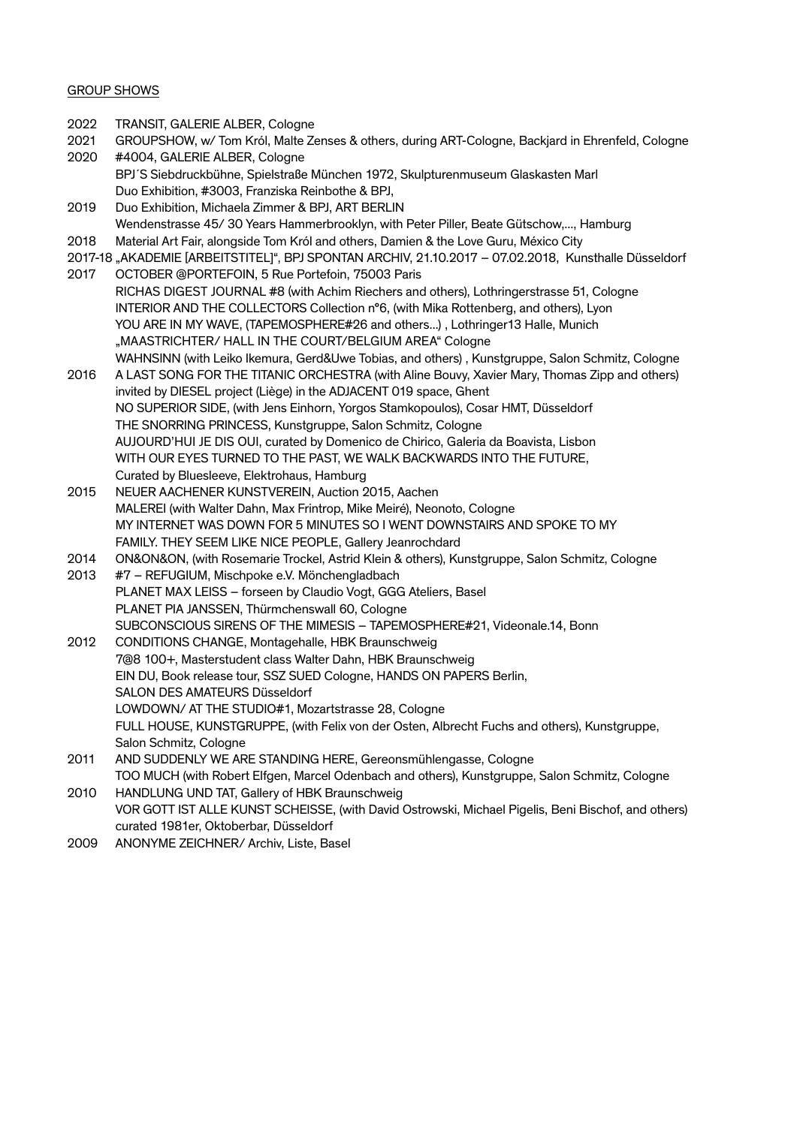## GROUP SHOWS

- 2022 TRANSIT, GALERIE ALBER, Cologne
- 2021 GROUPSHOW, w/ Tom Król, Malte Zenses & others, during ART-Cologne, Backjard in Ehrenfeld, Cologne
- 2020 #4004, GALERIE ALBER, Cologne BPJ´S Siebdruckbühne, Spielstraße München 1972, Skulpturenmuseum Glaskasten Marl Duo Exhibition, #3003, Franziska Reinbothe & BPJ,
- 2019 Duo Exhibition, Michaela Zimmer & BPJ, ART BERLIN Wendenstrasse 45/ 30 Years Hammerbrooklyn, with Peter Piller, Beate Gütschow,..., Hamburg
- 2018 Material Art Fair, alongside Tom Król and others, Damien & the Love Guru, México City
- 2017-18 "AKADEMIE [ARBEITSTITEL]", BPJ SPONTAN ARCHIV, 21.10.2017 07.02.2018, Kunsthalle Düsseldorf
- 2017 OCTOBER @PORTEFOIN, 5 Rue Portefoin, 75003 Paris RICHAS DIGEST JOURNAL #8 (with Achim Riechers and others), Lothringerstrasse 51, Cologne INTERIOR AND THE COLLECTORS Collection n°6, (with Mika Rottenberg, and others), Lyon YOU ARE IN MY WAVE, (TAPEMOSPHERE#26 and others...) , Lothringer13 Halle, Munich "MAASTRICHTER/ HALL IN THE COURT/BELGIUM AREA" Cologne WAHNSINN (with Leiko Ikemura, Gerd&Uwe Tobias, and others) , Kunstgruppe, Salon Schmitz, Cologne
- 2016 A LAST SONG FOR THE TITANIC ORCHESTRA (with Aline Bouvy, Xavier Mary, Thomas Zipp and others) invited by DIESEL project (Liège) in the ADJACENT 019 space, Ghent NO SUPERIOR SIDE, (with Jens Einhorn, Yorgos Stamkopoulos), Cosar HMT, Düsseldorf THE SNORRING PRINCESS, Kunstgruppe, Salon Schmitz, Cologne AUJOURD'HUI JE DIS OUI, curated by Domenico de Chirico, Galeria da Boavista, Lisbon WITH OUR EYES TURNED TO THE PAST, WE WALK BACKWARDS INTO THE FUTURE, Curated by Bluesleeve, Elektrohaus, Hamburg
- 2015 NEUER AACHENER KUNSTVEREIN, Auction 2015, Aachen MALEREI (with Walter Dahn, Max Frintrop, Mike Meiré), Neonoto, Cologne MY INTERNET WAS DOWN FOR 5 MINUTES SO I WENT DOWNSTAIRS AND SPOKE TO MY FAMILY. THEY SEEM LIKE NICE PEOPLE, Gallery Jeanrochdard
- 2014 ON&ON&ON, (with Rosemarie Trockel, Astrid Klein & others), Kunstgruppe, Salon Schmitz, Cologne 2013 #7 – REFUGIUM, Mischpoke e.V. Mönchengladbach PLANET MAX LEISS – forseen by Claudio Vogt, GGG Ateliers, Basel PLANET PIA JANSSEN, Thürmchenswall 60, Cologne SUBCONSCIOUS SIRENS OF THE MIMESIS – TAPEMOSPHERE#21, Videonale.14, Bonn 2012 CONDITIONS CHANGE, Montagehalle, HBK Braunschweig
- 7@8 100+, Masterstudent class Walter Dahn, HBK Braunschweig EIN DU, Book release tour, SSZ SUED Cologne, HANDS ON PAPERS Berlin, SALON DES AMATEURS Düsseldorf LOWDOWN/ AT THE STUDIO#1, Mozartstrasse 28, Cologne FULL HOUSE, KUNSTGRUPPE, (with Felix von der Osten, Albrecht Fuchs and others), Kunstgruppe, Salon Schmitz, Cologne
- 2011 AND SUDDENLY WE ARE STANDING HERE, Gereonsmühlengasse, Cologne TOO MUCH (with Robert Elfgen, Marcel Odenbach and others), Kunstgruppe, Salon Schmitz, Cologne
- 2010 HANDLUNG UND TAT, Gallery of HBK Braunschweig VOR GOTT IST ALLE KUNST SCHEISSE, (with David Ostrowski, Michael Pigelis, Beni Bischof, and others) curated 1981er, Oktoberbar, Düsseldorf
- 2009 ANONYME ZEICHNER/ Archiv, Liste, Basel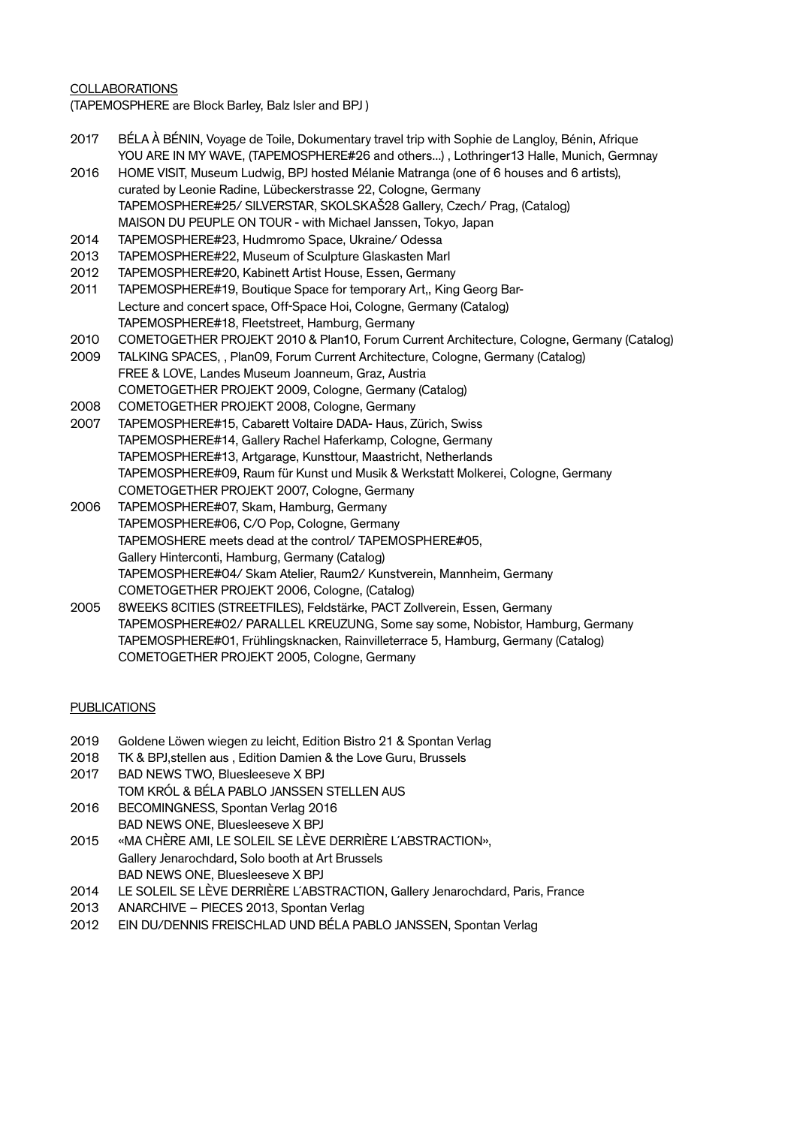## COLLABORATIONS

(TAPEMOSPHERE are Block Barley, Balz Isler and BPJ )

- 2017 BÉLA À BÉNIN, Voyage de Toile, Dokumentary travel trip with Sophie de Langloy, Bénin, Afrique YOU ARE IN MY WAVE, (TAPEMOSPHERE#26 and others...) , Lothringer13 Halle, Munich, Germnay
- 2016 HOME VISIT, Museum Ludwig, BPJ hosted Mélanie Matranga (one of 6 houses and 6 artists), curated by Leonie Radine, Lübeckerstrasse 22, Cologne, Germany TAPEMOSPHERE#25/ SILVERSTAR, SKOLSKAŠ28 Gallery, Czech/ Prag, (Catalog) MAISON DU PEUPLE ON TOUR - with Michael Janssen, Tokyo, Japan
- 2014 TAPEMOSPHERE#23, Hudmromo Space, Ukraine/ Odessa
- 2013 TAPEMOSPHERE#22, Museum of Sculpture Glaskasten Marl
- 2012 TAPEMOSPHERE#20, Kabinett Artist House, Essen, Germany
- 2011 TAPEMOSPHERE#19, Boutique Space for temporary Art., King Georg Bar-Lecture and concert space, Off-Space Hoi, Cologne, Germany (Catalog) TAPEMOSPHERE#18, Fleetstreet, Hamburg, Germany
- 2010 COMETOGETHER PROJEKT 2010 & Plan10, Forum Current Architecture, Cologne, Germany (Catalog)
- 2009 TALKING SPACES, , Plan09, Forum Current Architecture, Cologne, Germany (Catalog) FREE & LOVE, Landes Museum Joanneum, Graz, Austria COMETOGETHER PROJEKT 2009, Cologne, Germany (Catalog)
- 2008 COMETOGETHER PROJEKT 2008, Cologne, Germany
- 2007 TAPEMOSPHERE#15, Cabarett Voltaire DADA- Haus, Zürich, Swiss TAPEMOSPHERE#14, Gallery Rachel Haferkamp, Cologne, Germany TAPEMOSPHERE#13, Artgarage, Kunsttour, Maastricht, Netherlands TAPEMOSPHERE#09, Raum für Kunst und Musik & Werkstatt Molkerei, Cologne, Germany COMETOGETHER PROJEKT 2007, Cologne, Germany
- 2006 TAPEMOSPHERE#07, Skam, Hamburg, Germany TAPEMOSPHERE#06, C/O Pop, Cologne, Germany TAPEMOSHERE meets dead at the control/ TAPEMOSPHERE#05, Gallery Hinterconti, Hamburg, Germany (Catalog) TAPEMOSPHERE#04/ Skam Atelier, Raum2/ Kunstverein, Mannheim, Germany COMETOGETHER PROJEKT 2006, Cologne, (Catalog)
- 2005 8WEEKS 8CITIES (STREETFILES), Feldstärke, PACT Zollverein, Essen, Germany TAPEMOSPHERE#02/ PARALLEL KREUZUNG, Some say some, Nobistor, Hamburg, Germany TAPEMOSPHERE#01, Frühlingsknacken, Rainvilleterrace 5, Hamburg, Germany (Catalog) COMETOGETHER PROJEKT 2005, Cologne, Germany

### PUBLICATIONS

- 2019 Goldene Löwen wiegen zu leicht, Edition Bistro 21 & Spontan Verlag
- 2018 TK & BPJ,stellen aus , Edition Damien & the Love Guru, Brussels
- 2017 BAD NEWS TWO, Bluesleeseve X BPJ
- TOM KRÓL & BÉLA PABLO JANSSEN STELLEN AUS
- 2016 BECOMINGNESS, Spontan Verlag 2016 BAD NEWS ONE, Bluesleeseve X BPJ
- 2015 «MA CHÈRE AMI, LE SOLEIL SE LÈVE DERRIÈRE L´ABSTRACTION», Gallery Jenarochdard, Solo booth at Art Brussels BAD NEWS ONE, Bluesleeseve X BPJ
- 2014 LE SOLEIL SE LÈVE DERRIÈRE L´ABSTRACTION, Gallery Jenarochdard, Paris, France
- 2013 ANARCHIVE PIECES 2013, Spontan Verlag
- 2012 EIN DU/DENNIS FREISCHLAD UND BÉLA PABLO JANSSEN, Spontan Verlag